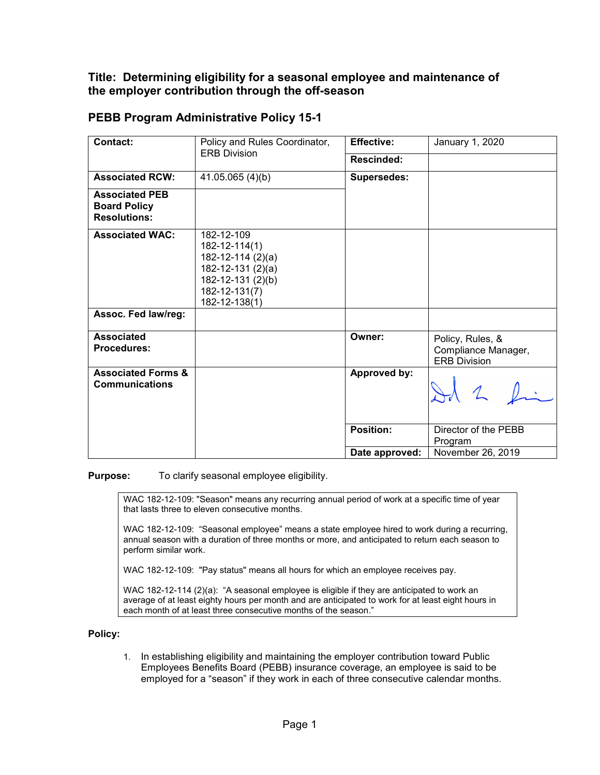## **Title: Determining eligibility for a seasonal employee and maintenance of the employer contribution through the off-season**

| Contact:                                                            | Policy and Rules Coordinator,<br><b>ERB Division</b>                                                                               | <b>Effective:</b>  | January 1, 2020                                                |
|---------------------------------------------------------------------|------------------------------------------------------------------------------------------------------------------------------------|--------------------|----------------------------------------------------------------|
|                                                                     |                                                                                                                                    |                    |                                                                |
|                                                                     |                                                                                                                                    | <b>Rescinded:</b>  |                                                                |
| <b>Associated RCW:</b>                                              | 41.05.065 (4)(b)                                                                                                                   | <b>Supersedes:</b> |                                                                |
| <b>Associated PEB</b><br><b>Board Policy</b><br><b>Resolutions:</b> |                                                                                                                                    |                    |                                                                |
| <b>Associated WAC:</b>                                              | 182-12-109<br>$182 - 12 - 114(1)$<br>182-12-114 (2)(a)<br>182-12-131 (2)(a)<br>182-12-131 (2)(b)<br>182-12-131(7)<br>182-12-138(1) |                    |                                                                |
| Assoc. Fed law/reg:                                                 |                                                                                                                                    |                    |                                                                |
| <b>Associated</b><br><b>Procedures:</b>                             |                                                                                                                                    | Owner:             | Policy, Rules, &<br>Compliance Manager,<br><b>ERB Division</b> |
| <b>Associated Forms &amp;</b><br><b>Communications</b>              |                                                                                                                                    | Approved by:       |                                                                |
|                                                                     |                                                                                                                                    | <b>Position:</b>   | Director of the PEBB<br>Program                                |
|                                                                     |                                                                                                                                    | Date approved:     | November 26, 2019                                              |

## **PEBB Program Administrative Policy 15-1**

**Purpose:** To clarify seasonal employee eligibility.

WAC 182-12-109: "Season" means any recurring annual period of work at a specific time of year that lasts three to eleven consecutive months.

WAC 182-12-109: "Seasonal employee" means a state employee hired to work during a recurring, annual season with a duration of three months or more, and anticipated to return each season to perform similar work.

WAC 182-12-109: "Pay status" means all hours for which an employee receives pay.

WAC 182-12-114 (2)(a): "A seasonal employee is eligible if they are anticipated to work an average of at least eighty hours per month and are anticipated to work for at least eight hours in each month of at least three consecutive months of the season."

## **Policy:**

1. In establishing eligibility and maintaining the employer contribution toward Public Employees Benefits Board (PEBB) insurance coverage, an employee is said to be employed for a "season" if they work in each of three consecutive calendar months.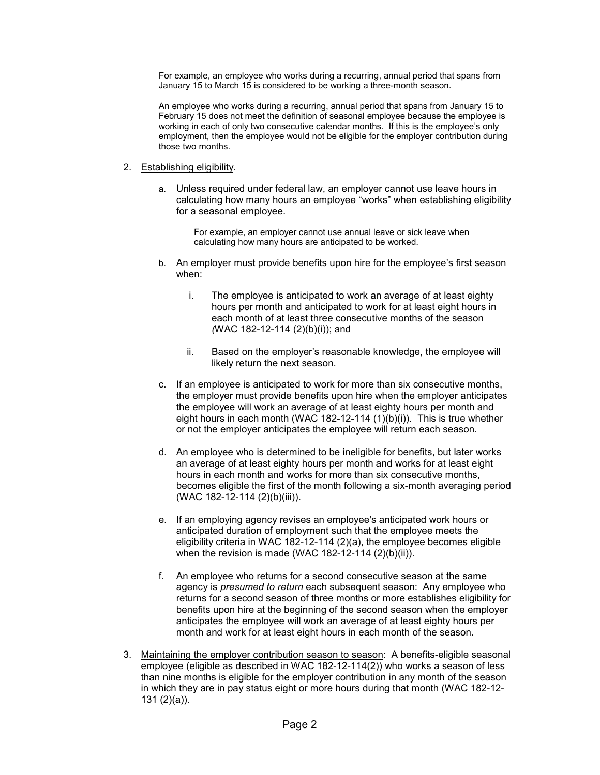For example, an employee who works during a recurring, annual period that spans from January 15 to March 15 is considered to be working a three-month season.

An employee who works during a recurring, annual period that spans from January 15 to February 15 does not meet the definition of seasonal employee because the employee is working in each of only two consecutive calendar months. If this is the employee's only employment, then the employee would not be eligible for the employer contribution during those two months.

## 2. Establishing eligibility.

a. Unless required under federal law, an employer cannot use leave hours in calculating how many hours an employee "works" when establishing eligibility for a seasonal employee.

For example, an employer cannot use annual leave or sick leave when calculating how many hours are anticipated to be worked.

- b. An employer must provide benefits upon hire for the employee's first season when:
	- i. The employee is anticipated to work an average of at least eighty hours per month and anticipated to work for at least eight hours in each month of at least three consecutive months of the season *(*WAC 182-12-114 (2)(b)(i)); and
	- ii. Based on the employer's reasonable knowledge, the employee will likely return the next season.
- c. If an employee is anticipated to work for more than six consecutive months, the employer must provide benefits upon hire when the employer anticipates the employee will work an average of at least eighty hours per month and eight hours in each month (WAC 182-12-114 (1)(b)(i)). This is true whether or not the employer anticipates the employee will return each season.
- d. An employee who is determined to be ineligible for benefits, but later works an average of at least eighty hours per month and works for at least eight hours in each month and works for more than six consecutive months, becomes eligible the first of the month following a six-month averaging period (WAC 182-12-114 (2)(b)(iii)).
- e. If an employing agency revises an employee's anticipated work hours or anticipated duration of employment such that the employee meets the eligibility criteria in WAC 182-12-114 (2)(a), the employee becomes eligible when the revision is made (WAC 182-12-114 (2)(b)(ii)).
- f. An employee who returns for a second consecutive season at the same agency is *presumed to return* each subsequent season: Any employee who returns for a second season of three months or more establishes eligibility for benefits upon hire at the beginning of the second season when the employer anticipates the employee will work an average of at least eighty hours per month and work for at least eight hours in each month of the season.
- 3. Maintaining the employer contribution season to season: A benefits-eligible seasonal employee (eligible as described in WAC 182-12-114(2)) who works a season of less than nine months is eligible for the employer contribution in any month of the season in which they are in pay status eight or more hours during that month (WAC 182-12- 131 (2)(a)).